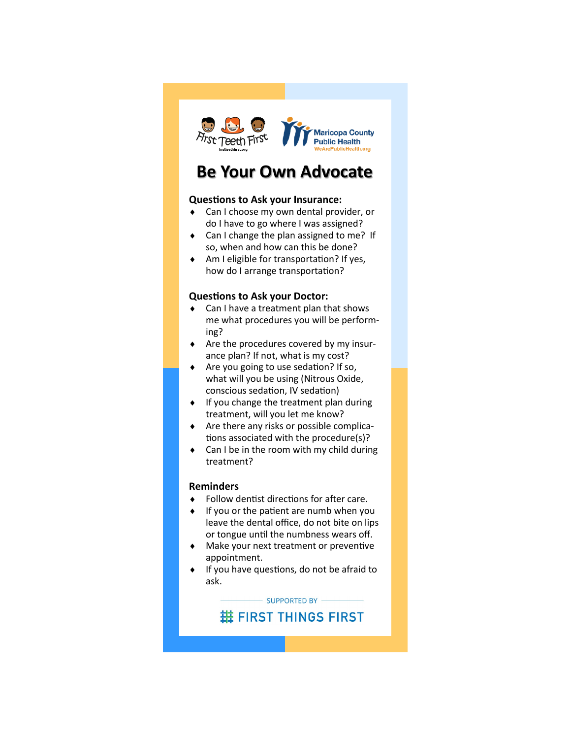

# **Be Your Own Advocate**

## **Questions to Ask your Insurance:**

- Can I choose my own dental provider, or do I have to go where I was assigned?
- ◆ Can I change the plan assigned to me? If so, when and how can this be done?
- Am I eligible for transportation? If yes, how do I arrange transportation?

### **Questions to Ask your Doctor:**

- ◆ Can I have a treatment plan that shows me what procedures you will be performing?
- Are the procedures covered by my insurance plan? If not, what is my cost?
- ◆ Are you going to use sedation? If so, what will you be using (Nitrous Oxide, conscious sedation, IV sedation)
- If you change the treatment plan during treatment, will you let me know?
- $\triangleleft$  Are there any risks or possible complications associated with the procedure(s)?
- Can I be in the room with my child during treatment?

### **Reminders**

- ◆ Follow dentist directions for after care.
- If you or the patient are numb when you leave the dental office, do not bite on lips or tongue until the numbness wears off.
- Make your next treatment or preventive appointment.
- If you have questions, do not be afraid to ask.

SUPPORTED BY -

**# FIRST THINGS FIRST**